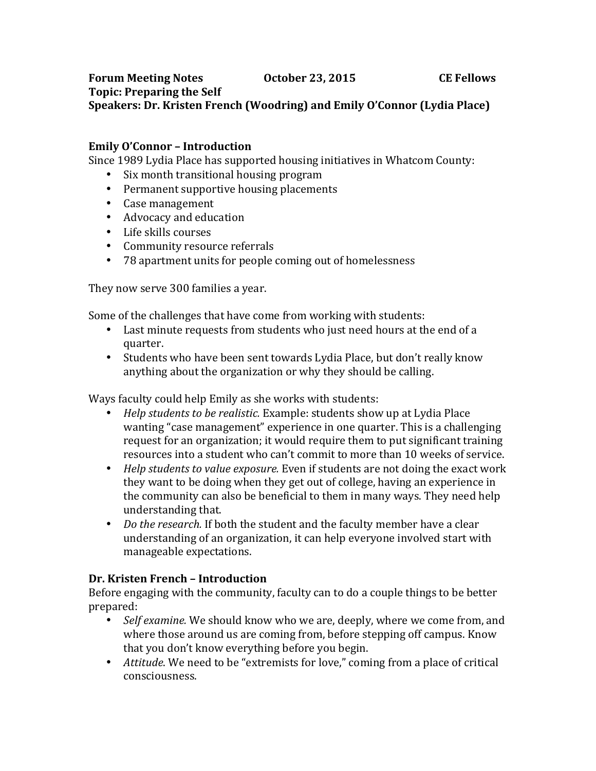## **Forum Meeting Notes CE** Fellows **CE** Fellows **Topic: Preparing the Self** Speakers: Dr. Kristen French (Woodring) and Emily O'Connor (Lydia Place)

## **Emily O'Connor – Introduction**

Since 1989 Lydia Place has supported housing initiatives in Whatcom County:

- Six month transitional housing program
- Permanent supportive housing placements
- Case management
- Advocacy and education
- Life skills courses
- Community resource referrals
- 78 apartment units for people coming out of homelessness

They now serve 300 families a year.

Some of the challenges that have come from working with students:

- Last minute requests from students who just need hours at the end of a quarter.
- Students who have been sent towards Lydia Place, but don't really know anything about the organization or why they should be calling.

Ways faculty could help Emily as she works with students:

- *Help students to be realistic.* Example: students show up at Lydia Place wanting "case management" experience in one quarter. This is a challenging request for an organization; it would require them to put significant training resources into a student who can't commit to more than 10 weeks of service.
- *Help students to value exposure.* Even if students are not doing the exact work they want to be doing when they get out of college, having an experience in the community can also be beneficial to them in many ways. They need help understanding that.
- *Do the research.* If both the student and the faculty member have a clear understanding of an organization, it can help everyone involved start with manageable expectations.

## **Dr. Kristen French – Introduction**

Before engaging with the community, faculty can to do a couple things to be better prepared:

- *Self examine.* We should know who we are, deeply, where we come from, and where those around us are coming from, before stepping off campus. Know that you don't know everything before you begin.
- *Attitude*. We need to be "extremists for love," coming from a place of critical consciousness.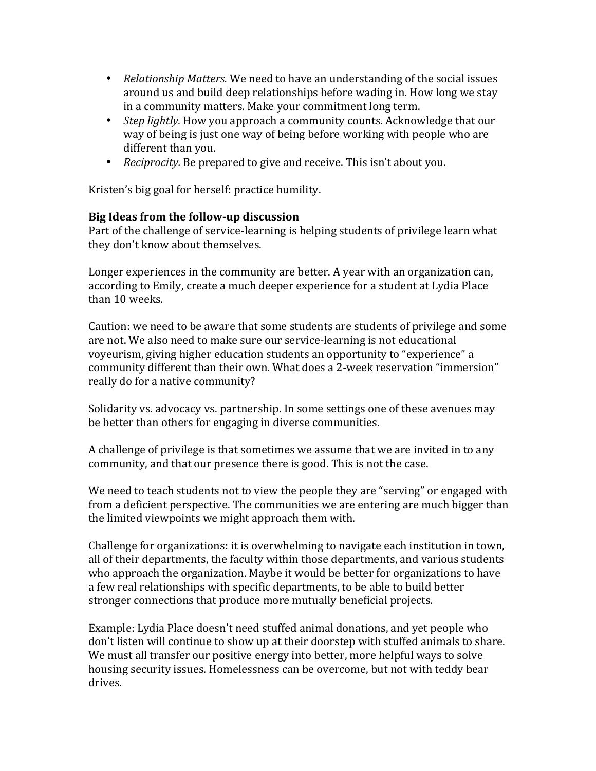- *Relationship Matters.* We need to have an understanding of the social issues around us and build deep relationships before wading in. How long we stay in a community matters. Make your commitment long term.
- *Step lightly.* How you approach a community counts. Acknowledge that our way of being is just one way of being before working with people who are different than you.
- *Reciprocity.* Be prepared to give and receive. This isn't about you.

Kristen's big goal for herself: practice humility.

## **Big Ideas from the follow-up discussion**

Part of the challenge of service-learning is helping students of privilege learn what they don't know about themselves.

Longer experiences in the community are better. A year with an organization can, according to Emily, create a much deeper experience for a student at Lydia Place than 10 weeks.

Caution: we need to be aware that some students are students of privilege and some are not. We also need to make sure our service-learning is not educational voyeurism, giving higher education students an opportunity to "experience" a community different than their own. What does a 2-week reservation "immersion" really do for a native community?

Solidarity vs. advocacy vs. partnership. In some settings one of these avenues may be better than others for engaging in diverse communities.

A challenge of privilege is that sometimes we assume that we are invited in to any community, and that our presence there is good. This is not the case.

We need to teach students not to view the people they are "serving" or engaged with from a deficient perspective. The communities we are entering are much bigger than the limited viewpoints we might approach them with.

Challenge for organizations: it is overwhelming to navigate each institution in town, all of their departments, the faculty within those departments, and various students who approach the organization. Maybe it would be better for organizations to have a few real relationships with specific departments, to be able to build better stronger connections that produce more mutually beneficial projects.

Example: Lydia Place doesn't need stuffed animal donations, and yet people who don't listen will continue to show up at their doorstep with stuffed animals to share. We must all transfer our positive energy into better, more helpful ways to solve housing security issues. Homelessness can be overcome, but not with teddy bear drives.